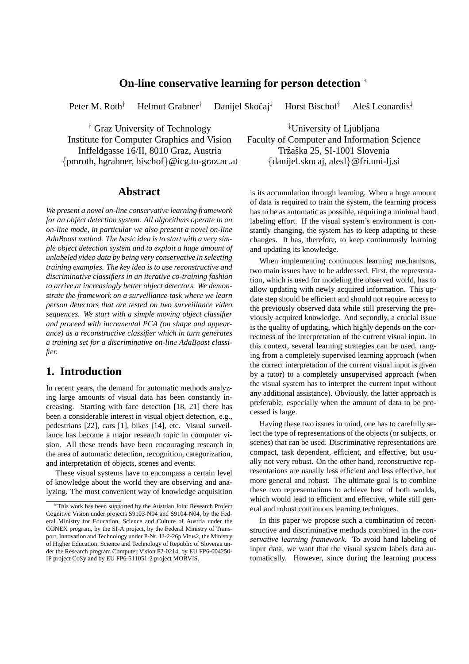## **On-line conservative learning for person detection** <sup>∗</sup>

Peter M. Roth<sup>†</sup> Helmut Grabner<sup>†</sup> Danijel Skočaj<sup>‡</sup>

Horst Bischof<sup>†</sup> Aleš Leonardis<sup>‡</sup>

Inffeldgasse 16/II, 8010 Graz, Austria Tržaška 25, SI-1001 Slovenia {pmroth, hgrabner, bischof}@icg.tu-graz.ac.at {danijel.skocaj, alesl}@fri.uni-lj.si

## **Abstract**

*We present a novel on-line conservative learning framework for an object detection system. All algorithms operate in an on-line mode, in particular we also present a novel on-line AdaBoost method. The basic idea is to start with a very simple object detection system and to exploit a huge amount of unlabeled video data by being very conservative in selecting training examples. The key idea is to use reconstructive and discriminative classifiers in an iterative co-training fashion to arrive at increasingly better object detectors. We demonstrate the framework on a surveillance task where we learn person detectors that are tested on two surveillance video sequences. We start with a simple moving object classifier and proceed with incremental PCA (on shape and appearance) as a reconstructive classifier which in turn generates a training set for a discriminative on-line AdaBoost classifier.*

# **1. Introduction**

In recent years, the demand for automatic methods analyzing large amounts of visual data has been constantly increasing. Starting with face detection [18, 21] there has been a considerable interest in visual object detection, e.g., pedestrians [22], cars [1], bikes [14], etc. Visual surveillance has become a major research topic in computer vision. All these trends have been encouraging research in the area of automatic detection, recognition, categorization, and interpretation of objects, scenes and events.

These visual systems have to encompass a certain level of knowledge about the world they are observing and analyzing. The most convenient way of knowledge acquisition

<sup>†</sup> Graz University of Technology **<sup>‡</sup>University of Ljubliana** Institute for Computer Graphics and Vision Faculty of Computer and Information Science

> is its accumulation through learning. When a huge amount of data is required to train the system, the learning process has to be as automatic as possible, requiring a minimal hand labeling effort. If the visual system's environment is constantly changing, the system has to keep adapting to these changes. It has, therefore, to keep continuously learning and updating its knowledge.

> When implementing continuous learning mechanisms, two main issues have to be addressed. First, the representation, which is used for modeling the observed world, has to allow updating with newly acquired information. This update step should be efficient and should not require access to the previously observed data while still preserving the previously acquired knowledge. And secondly, a crucial issue is the quality of updating, which highly depends on the correctness of the interpretation of the current visual input. In this context, several learning strategies can be used, ranging from a completely supervised learning approach (when the correct interpretation of the current visual input is given by a tutor) to a completely unsupervised approach (when the visual system has to interpret the current input without any additional assistance). Obviously, the latter approach is preferable, especially when the amount of data to be processed is large.

> Having these two issues in mind, one has to carefully select the type of representations of the objects (or subjects, or scenes) that can be used. Discriminative representations are compact, task dependent, efficient, and effective, but usually not very robust. On the other hand, reconstructive representations are usually less efficient and less effective, but more general and robust. The ultimate goal is to combine these two representations to achieve best of both worlds, which would lead to efficient and effective, while still general and robust continuous learning techniques.

> In this paper we propose such a combination of reconstructive and discriminative methods combined in the *conservative learning framework*. To avoid hand labeling of input data, we want that the visual system labels data automatically. However, since during the learning process

<sup>∗</sup>This work has been supported by the Austrian Joint Research Project Cognitive Vision under projects S9103-N04 and S9104-N04, by the Federal Ministry for Education, Science and Culture of Austria under the CONEX program, by the SI-A project, by the Federal Ministry of Transport, Innovation and Technology under P-Nr. I2-2-26p Vitus2, the Ministry of Higher Education, Science and Technology of Republic of Slovenia under the Research program Computer Vision P2-0214, by EU FP6-004250- IP project CoSy and by EU FP6-511051-2 project MOBVIS.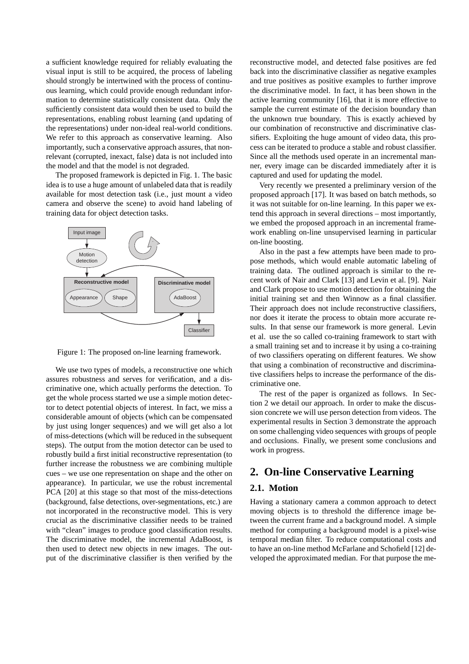a sufficient knowledge required for reliably evaluating the visual input is still to be acquired, the process of labeling should strongly be intertwined with the process of continuous learning, which could provide enough redundant information to determine statistically consistent data. Only the sufficiently consistent data would then be used to build the representations, enabling robust learning (and updating of the representations) under non-ideal real-world conditions. We refer to this approach as conservative learning. Also importantly, such a conservative approach assures, that nonrelevant (corrupted, inexact, false) data is not included into the model and that the model is not degraded.

The proposed framework is depicted in Fig. 1. The basic idea is to use a huge amount of unlabeled data that is readily available for most detection task (i.e., just mount a video camera and observe the scene) to avoid hand labeling of training data for object detection tasks.



Figure 1: The proposed on-line learning framework.

We use two types of models, a reconstructive one which assures robustness and serves for verification, and a discriminative one, which actually performs the detection. To get the whole process started we use a simple motion detector to detect potential objects of interest. In fact, we miss a considerable amount of objects (which can be compensated by just using longer sequences) and we will get also a lot of miss-detections (which will be reduced in the subsequent steps). The output from the motion detector can be used to robustly build a first initial reconstructive representation (to further increase the robustness we are combining multiple cues – we use one representation on shape and the other on appearance). In particular, we use the robust incremental PCA [20] at this stage so that most of the miss-detections (background, false detections, over-segmentations, etc.) are not incorporated in the reconstructive model. This is very crucial as the discriminative classifier needs to be trained with "clean" images to produce good classification results. The discriminative model, the incremental AdaBoost, is then used to detect new objects in new images. The output of the discriminative classifier is then verified by the reconstructive model, and detected false positives are fed back into the discriminative classifier as negative examples and true positives as positive examples to further improve the discriminative model. In fact, it has been shown in the active learning community [16], that it is more effective to sample the current estimate of the decision boundary than the unknown true boundary. This is exactly achieved by our combination of reconstructive and discriminative classifiers. Exploiting the huge amount of video data, this process can be iterated to produce a stable and robust classifier. Since all the methods used operate in an incremental manner, every image can be discarded immediately after it is captured and used for updating the model.

Very recently we presented a preliminary version of the proposed approach [17]. It was based on batch methods, so it was not suitable for on-line learning. In this paper we extend this approach in several directions – most importantly, we embed the proposed approach in an incremental framework enabling on-line unsupervised learning in particular on-line boosting.

Also in the past a few attempts have been made to propose methods, which would enable automatic labeling of training data. The outlined approach is similar to the recent work of Nair and Clark [13] and Levin et al. [9]. Nair and Clark propose to use motion detection for obtaining the initial training set and then Winnow as a final classifier. Their approach does not include reconstructive classifiers, nor does it iterate the process to obtain more accurate results. In that sense our framework is more general. Levin et al. use the so called co-training framework to start with a small training set and to increase it by using a co-training of two classifiers operating on different features. We show that using a combination of reconstructive and discriminative classifiers helps to increase the performance of the discriminative one.

The rest of the paper is organized as follows. In Section 2 we detail our approach. In order to make the discussion concrete we will use person detection from videos. The experimental results in Section 3 demonstrate the approach on some challenging video sequences with groups of people and occlusions. Finally, we present some conclusions and work in progress.

# **2. On-line Conservative Learning**

## **2.1. Motion**

Having a stationary camera a common approach to detect moving objects is to threshold the difference image between the current frame and a background model. A simple method for computing a background model is a pixel-wise temporal median filter. To reduce computational costs and to have an on-line method McFarlane and Schofield [12] developed the approximated median. For that purpose the me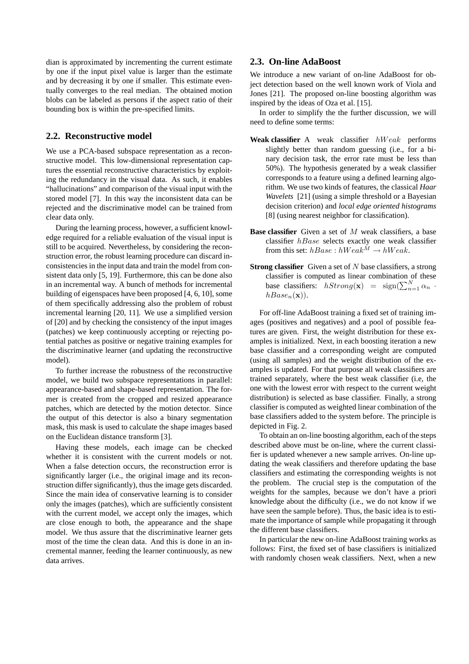dian is approximated by incrementing the current estimate by one if the input pixel value is larger than the estimate and by decreasing it by one if smaller. This estimate eventually converges to the real median. The obtained motion blobs can be labeled as persons if the aspect ratio of their bounding box is within the pre-specified limits.

## **2.2. Reconstructive model**

We use a PCA-based subspace representation as a reconstructive model. This low-dimensional representation captures the essential reconstructive characteristics by exploiting the redundancy in the visual data. As such, it enables "hallucinations" and comparison of the visual input with the stored model [7]. In this way the inconsistent data can be rejected and the discriminative model can be trained from clear data only.

During the learning process, however, a sufficient knowledge required for a reliable evaluation of the visual input is still to be acquired. Nevertheless, by considering the reconstruction error, the robust learning procedure can discard inconsistencies in the input data and train the model from consistent data only [5, 19]. Furthermore, this can be done also in an incremental way. A bunch of methods for incremental building of eigenspaces have been proposed [4, 6, 10], some of them specifically addressing also the problem of robust incremental learning [20, 11]. We use a simplified version of [20] and by checking the consistency of the input images (patches) we keep continuously accepting or rejecting potential patches as positive or negative training examples for the discriminative learner (and updating the reconstructive model).

To further increase the robustness of the reconstructive model, we build two subspace representations in parallel: appearance-based and shape-based representation. The former is created from the cropped and resized appearance patches, which are detected by the motion detector. Since the output of this detector is also a binary segmentation mask, this mask is used to calculate the shape images based on the Euclidean distance transform [3].

Having these models, each image can be checked whether it is consistent with the current models or not. When a false detection occurs, the reconstruction error is significantly larger (i.e., the original image and its reconstruction differ significantly), thus the image gets discarded. Since the main idea of conservative learning is to consider only the images (patches), which are sufficiently consistent with the current model, we accept only the images, which are close enough to both, the appearance and the shape model. We thus assure that the discriminative learner gets most of the time the clean data. And this is done in an incremental manner, feeding the learner continuously, as new data arrives.

## **2.3. On-line AdaBoost**

We introduce a new variant of on-line AdaBoost for object detection based on the well known work of Viola and Jones [21]. The proposed on-line boosting algorithm was inspired by the ideas of Oza et al. [15].

In order to simplify the the further discussion, we will need to define some terms:

- Weak classifier A weak classifier  $hWeak$  performs slightly better than random guessing (i.e., for a binary decision task, the error rate must be less than 50%). The hypothesis generated by a weak classifier corresponds to a feature using a defined learning algorithm. We use two kinds of features, the classical *Haar Wavelets* [21] (using a simple threshold or a Bayesian decision criterion) and *local edge oriented histograms* [8] (using nearest neighbor for classification).
- **Base classifier** Given a set of M weak classifiers, a base classifier hBase selects exactly one weak classifier from this set:  $hBase : hWeak^{\tilde{M}} \rightarrow hWeak.$
- **Strong classifier** Given a set of N base classifiers, a strong classifier is computed as linear combination of these classifiers: hStrong(x) = sign( $\sum_{n=1}^{N} \alpha_n$ .  $hBase_n(\mathbf{x})$ .

For off-line AdaBoost training a fixed set of training images (positives and negatives) and a pool of possible features are given. First, the weight distribution for these examples is initialized. Next, in each boosting iteration a new base classifier and a corresponding weight are computed (using all samples) and the weight distribution of the examples is updated. For that purpose all weak classifiers are trained separately, where the best weak classifier (i.e, the one with the lowest error with respect to the current weight distribution) is selected as base classifier. Finally, a strong classifier is computed as weighted linear combination of the base classifiers added to the system before. The principle is depicted in Fig. 2.

To obtain an on-line boosting algorithm, each of the steps described above must be on-line, where the current classifier is updated whenever a new sample arrives. On-line updating the weak classifiers and therefore updating the base classifiers and estimating the corresponding weights is not the problem. The crucial step is the computation of the weights for the samples, because we don't have a priori knowledge about the difficulty (i.e., we do not know if we have seen the sample before). Thus, the basic idea is to estimate the importance of sample while propagating it through the different base classifiers.

In particular the new on-line AdaBoost training works as follows: First, the fixed set of base classifiers is initialized with randomly chosen weak classifiers. Next, when a new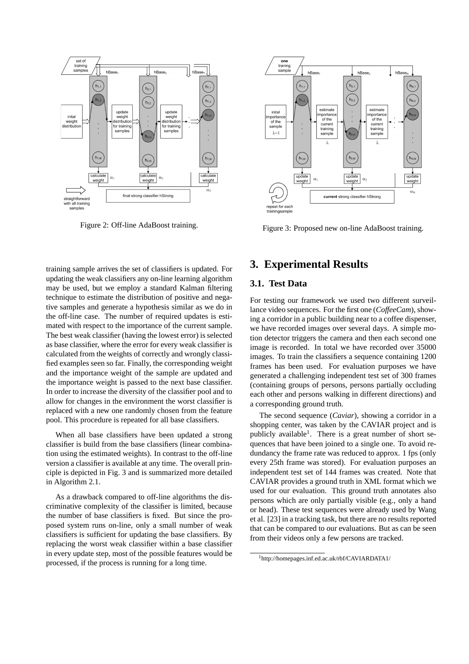

Figure 2: Off-line AdaBoost training.

training sample arrives the set of classifiers is updated. For updating the weak classifiers any on-line learning algorithm may be used, but we employ a standard Kalman filtering technique to estimate the distribution of positive and negative samples and generate a hypothesis similar as we do in the off-line case. The number of required updates is estimated with respect to the importance of the current sample. The best weak classifier (having the lowest error) is selected as base classifier, where the error for every weak classifier is calculated from the weights of correctly and wrongly classified examples seen so far. Finally, the corresponding weight and the importance weight of the sample are updated and the importance weight is passed to the next base classifier. In order to increase the diversity of the classifier pool and to allow for changes in the environment the worst classifier is replaced with a new one randomly chosen from the feature pool. This procedure is repeated for all base classifiers.

When all base classifiers have been updated a strong classifier is build from the base classifiers (linear combination using the estimated weights). In contrast to the off-line version a classifier is available at any time. The overall principle is depicted in Fig. 3 and is summarized more detailed in Algorithm 2.1.

As a drawback compared to off-line algorithms the discriminative complexity of the classifier is limited, because the number of base classifiers is fixed. But since the proposed system runs on-line, only a small number of weak classifiers is sufficient for updating the base classifiers. By replacing the worst weak classifier within a base classifier in every update step, most of the possible features would be processed, if the process is running for a long time.



Figure 3: Proposed new on-line AdaBoost training.

# **3. Experimental Results**

#### **3.1. Test Data**

For testing our framework we used two different surveillance video sequences. For the first one (*CoffeeCam*), showing a corridor in a public building near to a coffee dispenser, we have recorded images over several days. A simple motion detector triggers the camera and then each second one image is recorded. In total we have recorded over 35000 images. To train the classifiers a sequence containing 1200 frames has been used. For evaluation purposes we have generated a challenging independent test set of 300 frames (containing groups of persons, persons partially occluding each other and persons walking in different directions) and a corresponding ground truth.

The second sequence (*Caviar*), showing a corridor in a shopping center, was taken by the CAVIAR project and is publicly available<sup>1</sup>. There is a great number of short sequences that have been joined to a single one. To avoid redundancy the frame rate was reduced to approx. 1 fps (only every 25th frame was stored). For evaluation purposes an independent test set of 144 frames was created. Note that CAVIAR provides a ground truth in XML format which we used for our evaluation. This ground truth annotates also persons which are only partially visible (e.g., only a hand or head). These test sequences were already used by Wang et al. [23] in a tracking task, but there are no results reported that can be compared to our evaluations. But as can be seen from their videos only a few persons are tracked.

<sup>1</sup>http://homepages.inf.ed.ac.uk/rbf/CAVIARDATA1/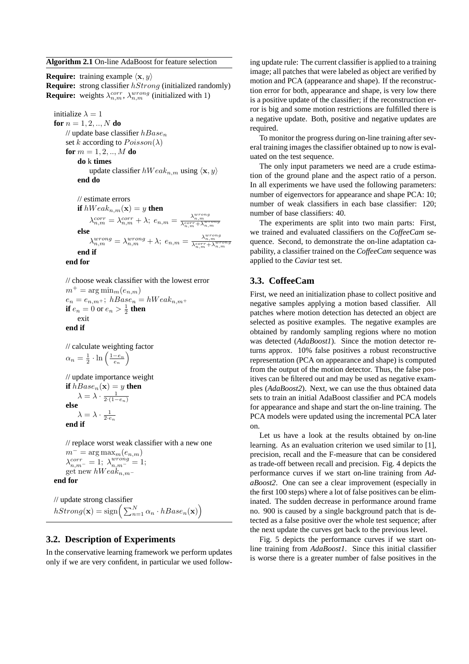**Algorithm 2.1** On-line AdaBoost for feature selection

**Require:** training example  $\langle \mathbf{x}, y \rangle$ **Require:** strong classifier hStrong (initialized randomly) **Require:** weights  $\lambda_{n,m}^{corr}$ ,  $\lambda_{n,m}^{wrong}$  (initialized with 1)

initialize  $\lambda = 1$ **for**  $n = 1, 2, ..., N$  **do** // update base classifier  $hBase_n$ set k according to  $Poisson(\lambda)$ **for**  $m = 1, 2, ..., M$  **do do** k **times** update classifier  $hWeak_{n,m}$  using  $\langle \mathbf{x}, y \rangle$ **end do**

// estimate errors **if**  $hWeak_{n,m}(\mathbf{x}) = y$  **then**  $\lambda_{n,m}^{corr} = \lambda_{n,m}^{corr} + \lambda; \ e_{n,m} = \frac{\lambda_{n,m}^{wrong}}{\lambda_{n,m}^{corr} + \lambda_{n,m}^{wrong}}$ **else**  $\lambda_{n,m}^{wrong} = \lambda_{n,m}^{wrong} + \lambda; \ e_{n,m} = \frac{\lambda_{n,m}^{wrong}}{\lambda_{n,m}^{corr} + \lambda_{n,m}^{wrong}}$ **end if end for**

// choose weak classifier with the lowest error  $m^+ = \arg \min_m(e_{n,m})$  $e_n = e_{n,m+}; hBase_n = hWeak_{n,m+}$ **if**  $e_n = 0$  or  $e_n > \frac{1}{2}$  **then** exit **end if**

// calculate weighting factor ´ *n* =  $\frac{1}{2} \cdot \ln \left( \frac{1 - e_n}{e_n} \right)$ 

// update importance weight **if**  $hBase_n(\mathbf{x}) = y$  **then**  $\lambda = \lambda \cdot \frac{1}{2 \cdot (1 - e_n)}$ else  $\lambda = \lambda \cdot \frac{1}{2 \cdot e_n}$ **end if**

// replace worst weak classifier with a new one  $m^-$  = arg max<sub>m</sub> $(e_{n,m})$  $\lambda_{n,m^-}^{corr} = 1; \ \lambda_{n,m^-}^{wrong} = 1;$ get new  $hWeak_{n,m-}$ 

**end for**

// update strong classifier *hStrong*(**x**) = sign $\left(\sum_{n=1}^{N} \alpha_n \cdot hBase_n(\mathbf{x})\right)$ ´

### **3.2. Description of Experiments**

In the conservative learning framework we perform updates only if we are very confident, in particular we used following update rule: The current classifier is applied to a training image; all patches that were labeled as object are verified by motion and PCA (appearance and shape). If the reconstruction error for both, appearance and shape, is very low there is a positive update of the classifier; if the reconstruction error is big and some motion restrictions are fulfilled there is a negative update. Both, positive and negative updates are required.

To monitor the progress during on-line training after several training images the classifier obtained up to now is evaluated on the test sequence.

The only input parameters we need are a crude estimation of the ground plane and the aspect ratio of a person. In all experiments we have used the following parameters: number of eigenvectors for appearance and shape PCA: 10; number of weak classifiers in each base classifier: 120; number of base classifiers: 40.

The experiments are split into two main parts: First, we trained and evaluated classifiers on the *CoffeeCam* sequence. Second, to demonstrate the on-line adaptation capability, a classifier trained on the *CoffeeCam* sequence was applied to the *Caviar* test set.

#### **3.3. CoffeeCam**

First, we need an initialization phase to collect positive and negative samples applying a motion based classifier. All patches where motion detection has detected an object are selected as positive examples. The negative examples are obtained by randomly sampling regions where no motion was detected (*AdaBoost1*). Since the motion detector returns approx. 10% false positives a robust reconstructive representation (PCA on appearance and shape) is computed from the output of the motion detector. Thus, the false positives can be filtered out and may be used as negative examples (*AdaBoost2*). Next, we can use the thus obtained data sets to train an initial AdaBoost classifier and PCA models for appearance and shape and start the on-line training. The PCA models were updated using the incremental PCA later on.

Let us have a look at the results obtained by on-line learning. As an evaluation criterion we used similar to [1], precision, recall and the F-measure that can be considered as trade-off between recall and precision. Fig. 4 depicts the performance curves if we start on-line training from *AdaBoost2*. One can see a clear improvement (especially in the first 100 steps) where a lot of false positives can be eliminated. The sudden decrease in performance around frame no. 900 is caused by a single background patch that is detected as a false positive over the whole test sequence; after the next update the curves get back to the previous level.

Fig. 5 depicts the performance curves if we start online training from *AdaBoost1*. Since this initial classifier is worse there is a greater number of false positives in the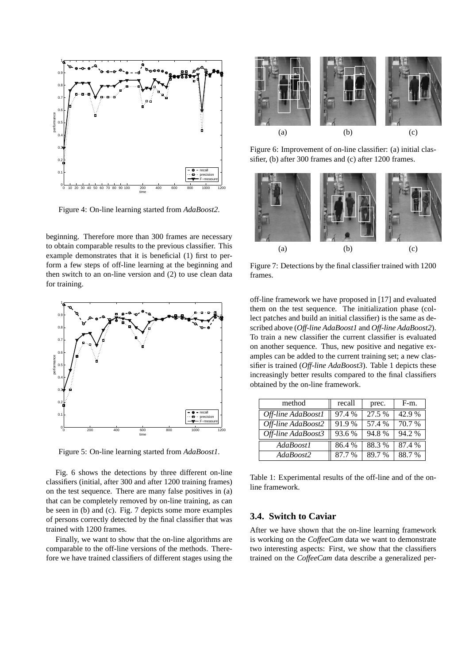

Figure 4: On-line learning started from *AdaBoost2*.

beginning. Therefore more than 300 frames are necessary to obtain comparable results to the previous classifier. This example demonstrates that it is beneficial (1) first to perform a few steps of off-line learning at the beginning and then switch to an on-line version and (2) to use clean data for training.



Figure 5: On-line learning started from *AdaBoost1*.

Fig. 6 shows the detections by three different on-line classifiers (initial, after 300 and after 1200 training frames) on the test sequence. There are many false positives in (a) that can be completely removed by on-line training, as can be seen in (b) and (c). Fig. 7 depicts some more examples of persons correctly detected by the final classifier that was trained with 1200 frames.

Finally, we want to show that the on-line algorithms are comparable to the off-line versions of the methods. Therefore we have trained classifiers of different stages using the



Figure 6: Improvement of on-line classifier: (a) initial classifier, (b) after 300 frames and (c) after 1200 frames.



Figure 7: Detections by the final classifier trained with 1200 frames.

off-line framework we have proposed in [17] and evaluated them on the test sequence. The initialization phase (collect patches and build an initial classifier) is the same as described above (*Off-line AdaBoost1* and *Off-line AdaBoost2*). To train a new classifier the current classifier is evaluated on another sequence. Thus, new positive and negative examples can be added to the current training set; a new classifier is trained (*Off-line AdaBoost3*). Table 1 depicts these increasingly better results compared to the final classifiers obtained by the on-line framework.

| method             | recall | prec.  | $F-m.$ |
|--------------------|--------|--------|--------|
| Off-line AdaBoost1 | 97.4 % | 27.5 % | 42.9%  |
| Off-line AdaBoost2 | 91.9%  | 57.4 % | 70.7%  |
| Off-line AdaBoost3 | 93.6%  | 94.8%  | 94.2%  |
| AdaBoost1          | 86.4 % | 88.3 % | 87.4 % |
| AdaBoost2          | 87.7%  | 89.7%  | 88.7%  |

Table 1: Experimental results of the off-line and of the online framework.

### **3.4. Switch to Caviar**

After we have shown that the on-line learning framework is working on the *CoffeeCam* data we want to demonstrate two interesting aspects: First, we show that the classifiers trained on the *CoffeeCam* data describe a generalized per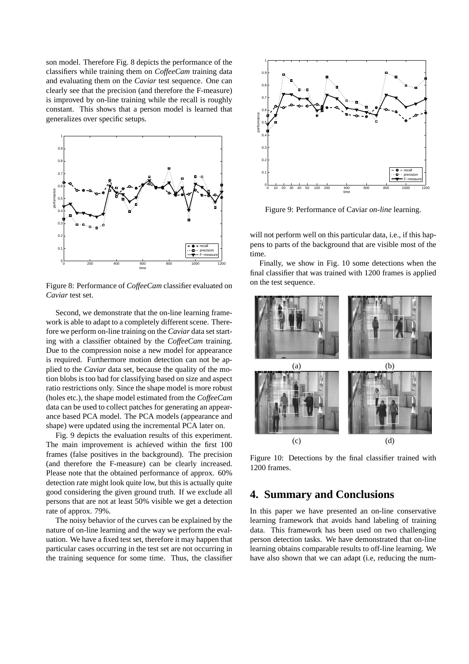son model. Therefore Fig. 8 depicts the performance of the classifiers while training them on *CoffeeCam* training data and evaluating them on the *Caviar* test sequence. One can clearly see that the precision (and therefore the F-measure) is improved by on-line training while the recall is roughly constant. This shows that a person model is learned that generalizes over specific setups.



Figure 8: Performance of *CoffeeCam* classifier evaluated on *Caviar* test set.

Second, we demonstrate that the on-line learning framework is able to adapt to a completely different scene. Therefore we perform on-line training on the *Caviar* data set starting with a classifier obtained by the *CoffeeCam* training. Due to the compression noise a new model for appearance is required. Furthermore motion detection can not be applied to the *Caviar* data set, because the quality of the motion blobs is too bad for classifying based on size and aspect ratio restrictions only. Since the shape model is more robust (holes etc.), the shape model estimated from the *CoffeeCam* data can be used to collect patches for generating an appearance based PCA model. The PCA models (appearance and shape) were updated using the incremental PCA later on.

Fig. 9 depicts the evaluation results of this experiment. The main improvement is achieved within the first 100 frames (false positives in the background). The precision (and therefore the F-measure) can be clearly increased. Please note that the obtained performance of approx. 60% detection rate might look quite low, but this is actually quite good considering the given ground truth. If we exclude all persons that are not at least 50% visible we get a detection rate of approx. 79%.

The noisy behavior of the curves can be explained by the nature of on-line learning and the way we perform the evaluation. We have a fixed test set, therefore it may happen that particular cases occurring in the test set are not occurring in the training sequence for some time. Thus, the classifier



Figure 9: Performance of Caviar *on-line* learning.

will not perform well on this particular data, i.e., if this happens to parts of the background that are visible most of the time.

Finally, we show in Fig. 10 some detections when the final classifier that was trained with 1200 frames is applied on the test sequence.



Figure 10: Detections by the final classifier trained with 1200 frames.

## **4. Summary and Conclusions**

In this paper we have presented an on-line conservative learning framework that avoids hand labeling of training data. This framework has been used on two challenging person detection tasks. We have demonstrated that on-line learning obtains comparable results to off-line learning. We have also shown that we can adapt (i.e, reducing the num